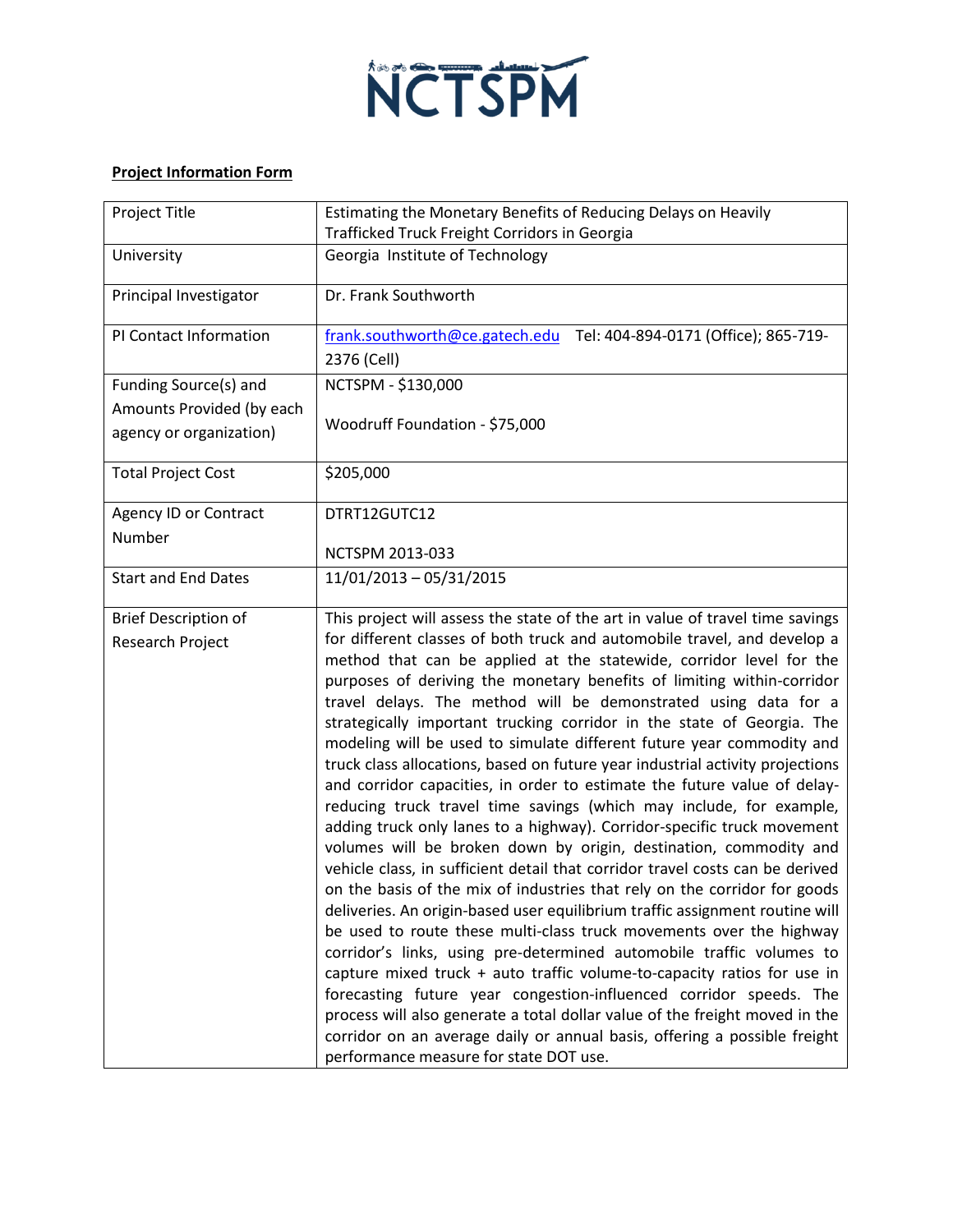

## **Project Information Form**

| Project Title                                        | Estimating the Monetary Benefits of Reducing Delays on Heavily<br>Trafficked Truck Freight Corridors in Georgia                                                                                                                                                                                                                                                                                                                                                                                                                                                                                                                                                                                                                                                                                                                                                                                                                                                                                                                                                                                                                                                                                                                                                                                                                                                                                                                                                                                                                                                                                                                                                          |
|------------------------------------------------------|--------------------------------------------------------------------------------------------------------------------------------------------------------------------------------------------------------------------------------------------------------------------------------------------------------------------------------------------------------------------------------------------------------------------------------------------------------------------------------------------------------------------------------------------------------------------------------------------------------------------------------------------------------------------------------------------------------------------------------------------------------------------------------------------------------------------------------------------------------------------------------------------------------------------------------------------------------------------------------------------------------------------------------------------------------------------------------------------------------------------------------------------------------------------------------------------------------------------------------------------------------------------------------------------------------------------------------------------------------------------------------------------------------------------------------------------------------------------------------------------------------------------------------------------------------------------------------------------------------------------------------------------------------------------------|
| University                                           | Georgia Institute of Technology                                                                                                                                                                                                                                                                                                                                                                                                                                                                                                                                                                                                                                                                                                                                                                                                                                                                                                                                                                                                                                                                                                                                                                                                                                                                                                                                                                                                                                                                                                                                                                                                                                          |
| Principal Investigator                               | Dr. Frank Southworth                                                                                                                                                                                                                                                                                                                                                                                                                                                                                                                                                                                                                                                                                                                                                                                                                                                                                                                                                                                                                                                                                                                                                                                                                                                                                                                                                                                                                                                                                                                                                                                                                                                     |
| PI Contact Information                               | frank.southworth@ce.gatech.edu<br>Tel: 404-894-0171 (Office); 865-719-<br>2376 (Cell)                                                                                                                                                                                                                                                                                                                                                                                                                                                                                                                                                                                                                                                                                                                                                                                                                                                                                                                                                                                                                                                                                                                                                                                                                                                                                                                                                                                                                                                                                                                                                                                    |
| Funding Source(s) and                                | NCTSPM - \$130,000                                                                                                                                                                                                                                                                                                                                                                                                                                                                                                                                                                                                                                                                                                                                                                                                                                                                                                                                                                                                                                                                                                                                                                                                                                                                                                                                                                                                                                                                                                                                                                                                                                                       |
| Amounts Provided (by each<br>agency or organization) | Woodruff Foundation - \$75,000                                                                                                                                                                                                                                                                                                                                                                                                                                                                                                                                                                                                                                                                                                                                                                                                                                                                                                                                                                                                                                                                                                                                                                                                                                                                                                                                                                                                                                                                                                                                                                                                                                           |
| <b>Total Project Cost</b>                            | \$205,000                                                                                                                                                                                                                                                                                                                                                                                                                                                                                                                                                                                                                                                                                                                                                                                                                                                                                                                                                                                                                                                                                                                                                                                                                                                                                                                                                                                                                                                                                                                                                                                                                                                                |
| Agency ID or Contract<br>Number                      | DTRT12GUTC12                                                                                                                                                                                                                                                                                                                                                                                                                                                                                                                                                                                                                                                                                                                                                                                                                                                                                                                                                                                                                                                                                                                                                                                                                                                                                                                                                                                                                                                                                                                                                                                                                                                             |
|                                                      | NCTSPM 2013-033                                                                                                                                                                                                                                                                                                                                                                                                                                                                                                                                                                                                                                                                                                                                                                                                                                                                                                                                                                                                                                                                                                                                                                                                                                                                                                                                                                                                                                                                                                                                                                                                                                                          |
| <b>Start and End Dates</b>                           | 11/01/2013 - 05/31/2015                                                                                                                                                                                                                                                                                                                                                                                                                                                                                                                                                                                                                                                                                                                                                                                                                                                                                                                                                                                                                                                                                                                                                                                                                                                                                                                                                                                                                                                                                                                                                                                                                                                  |
| <b>Brief Description of</b><br>Research Project      | This project will assess the state of the art in value of travel time savings<br>for different classes of both truck and automobile travel, and develop a<br>method that can be applied at the statewide, corridor level for the<br>purposes of deriving the monetary benefits of limiting within-corridor<br>travel delays. The method will be demonstrated using data for a<br>strategically important trucking corridor in the state of Georgia. The<br>modeling will be used to simulate different future year commodity and<br>truck class allocations, based on future year industrial activity projections<br>and corridor capacities, in order to estimate the future value of delay-<br>reducing truck travel time savings (which may include, for example,<br>adding truck only lanes to a highway). Corridor-specific truck movement<br>volumes will be broken down by origin, destination, commodity and<br>vehicle class, in sufficient detail that corridor travel costs can be derived<br>on the basis of the mix of industries that rely on the corridor for goods<br>deliveries. An origin-based user equilibrium traffic assignment routine will<br>be used to route these multi-class truck movements over the highway<br>corridor's links, using pre-determined automobile traffic volumes to<br>capture mixed truck + auto traffic volume-to-capacity ratios for use in<br>forecasting future year congestion-influenced corridor speeds. The<br>process will also generate a total dollar value of the freight moved in the<br>corridor on an average daily or annual basis, offering a possible freight<br>performance measure for state DOT use. |